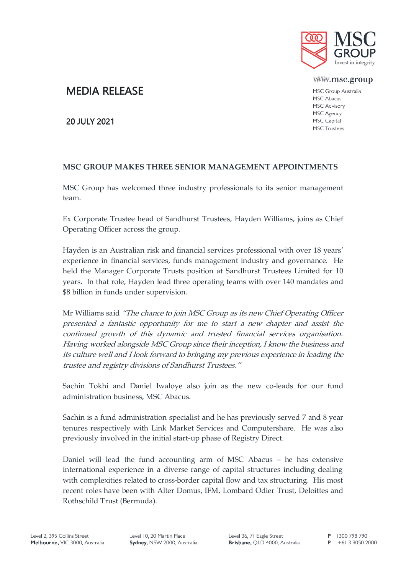

www.msc.group

MSC Group Australia MSC Abacus MSC Advisory MSC Agency MSC Capital **MSC Trustees** 

## MEDIA RELEASE

20 JULY 2021

## **MSC GROUP MAKES THREE SENIOR MANAGEMENT APPOINTMENTS**

MSC Group has welcomed three industry professionals to its senior management team.

Ex Corporate Trustee head of Sandhurst Trustees, Hayden Williams, joins as Chief Operating Officer across the group.

Hayden is an Australian risk and financial services professional with over 18 years' experience in financial services, funds management industry and governance. He held the Manager Corporate Trusts position at Sandhurst Trustees Limited for 10 years. In that role, Hayden lead three operating teams with over 140 mandates and \$8 billion in funds under supervision.

Mr Williams said "The chance to join MSC Group as its new Chief Operating Officer presented a fantastic opportunity for me to start a new chapter and assist the continued growth of this dynamic and trusted financial services organisation. Having worked alongside MSC Group since their inception, I know the business and its culture well and I look forward to bringing my previous experience in leading the trustee and registry divisions of Sandhurst Trustees."

Sachin Tokhi and Daniel Iwaloye also join as the new co-leads for our fund administration business, MSC Abacus.

Sachin is a fund administration specialist and he has previously served 7 and 8 year tenures respectively with Link Market Services and Computershare. He was also previously involved in the initial start-up phase of Registry Direct.

Daniel will lead the fund accounting arm of MSC Abacus – he has extensive international experience in a diverse range of capital structures including dealing with complexities related to cross-border capital flow and tax structuring. His most recent roles have been with Alter Domus, IFM, Lombard Odier Trust, Deloittes and Rothschild Trust (Bermuda).